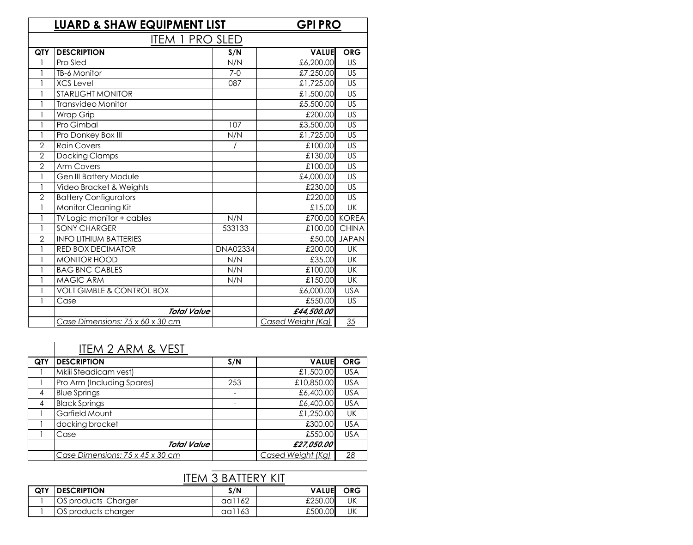|                | <b>LUARD &amp; SHAW EQUIPMENT LIST</b>   |                 | <b>GPI PRO</b>                 |                 |
|----------------|------------------------------------------|-----------------|--------------------------------|-----------------|
|                | <b>ITEM 1 PRO SLED</b>                   |                 |                                |                 |
| <b>QTY</b>     | <b>DESCRIPTION</b>                       | S/N             | <b>VALUE</b>                   | <b>ORG</b>      |
| $\mathbf{1}$   | Pro Sled                                 | N/N             | £6,200.00                      | US              |
| $\mathbf{1}$   | TB-6 Monitor                             | $7-0$           | £7,250.00                      | US              |
| $\mathbf{1}$   | <b>XCS Level</b>                         | 087             | £1,725.00                      | US              |
| $\mathbf{1}$   | <b>STARLIGHT MONITOR</b>                 |                 | $\overline{\text{£}}$ 1,500.00 | <b>US</b>       |
| $\mathbf{1}$   | <b>Transvideo Monitor</b>                |                 | £5,500.00                      | $\overline{US}$ |
|                | <b>Wrap Grip</b>                         |                 | £200.00                        | US              |
| $\mathbf{1}$   | Pro Gimbal                               | 107             | £3,500.00                      | $\overline{US}$ |
| $\mathbf{1}$   | Pro Donkey Box III                       | N/N             | £1,725.00                      | US              |
| $\overline{2}$ | <b>Rain Covers</b>                       |                 | £100.00                        | <b>US</b>       |
| $\overline{2}$ | Docking Clamps                           |                 | £130.00                        | $\overline{US}$ |
| $\overline{2}$ | <b>Arm Covers</b>                        |                 | £100.00                        | $\overline{US}$ |
| $\mathbf{I}$   | Gen III Battery Module                   |                 | £4,000.00                      | <b>US</b>       |
| $\mathbf{1}$   | Video Bracket & Weights                  |                 | £230.00                        | $\overline{US}$ |
| $\overline{2}$ | <b>Battery Configurators</b>             |                 | £220.00                        | US              |
| $\mathbf{1}$   | Monitor Cleaning Kit                     |                 | £15.00                         | <b>UK</b>       |
| 1              | TV Logic monitor + cables                | N/N             | £700.00 KOREA                  |                 |
| $\mathbf{1}$   | <b>SONY CHARGER</b>                      | 533133          | £100.00 CHINA                  |                 |
| $\overline{2}$ | <b>INFO LITHIUM BATTERIES</b>            |                 | £50.00                         | <b>JAPAN</b>    |
| $\mathbf{1}$   | <b>RED BOX DECIMATOR</b>                 | <b>DNA02334</b> | £200.00                        | <b>UK</b>       |
|                | <b>MONITOR HOOD</b>                      | N/N             | £35.00                         | UK              |
| 1              | <b>BAG BNC CABLES</b>                    | N/N             | £100.00                        | <b>UK</b>       |
|                | <b>MAGIC ARM</b>                         | N/N             | £150.00                        | <b>UK</b>       |
|                | <b>VOLT GIMBLE &amp; CONTROL BOX</b>     |                 | £6,000.00                      | <b>USA</b>      |
|                | Case                                     |                 | £550.00                        | <b>US</b>       |
|                | <b>Total Value</b>                       |                 | £44,500.00                     |                 |
|                | <u> Case Dimensions: 75 x 60 x 30 cm</u> |                 | Cased Weight (Kg)              | 35              |

|            | <b>ITEM 2 ARM &amp; VEST</b>     |     |                   |            |
|------------|----------------------------------|-----|-------------------|------------|
| <b>QTY</b> | <b>DESCRIPTION</b>               | S/N | <b>VALUE</b>      | <b>ORG</b> |
|            | Mkiii Steadicam vest)            |     | £1,500.00         | <b>USA</b> |
|            | Pro Arm (Including Spares)       | 253 | £10,850.00        | <b>USA</b> |
| 4          | <b>Blue Springs</b>              |     | £6,400.00         | <b>USA</b> |
| 4          | <b>Black Springs</b>             |     | £6,400.00         | <b>USA</b> |
|            | Garfield Mount                   |     | £1,250.00         | UK         |
|            | docking bracket                  |     | £300.00           | <b>USA</b> |
|            | Case                             |     | £550.00           | <b>USA</b> |
|            | <b>Total Value</b>               |     | £27,050.00        |            |
|            | Case Dimensions: 75 x 45 x 30 cm |     | Cased Weight (Kg) | 28         |

## **ITEM 3 BATTERY KIT**

| <b>QTY</b> | <b>DESCRIPTION</b>  | S/N    | <b>VALUE</b> | <b>ORG</b> |
|------------|---------------------|--------|--------------|------------|
|            | OS products Charger | aa1162 | £250.00      |            |
|            | OS products charger | aa1163 | £500.00      |            |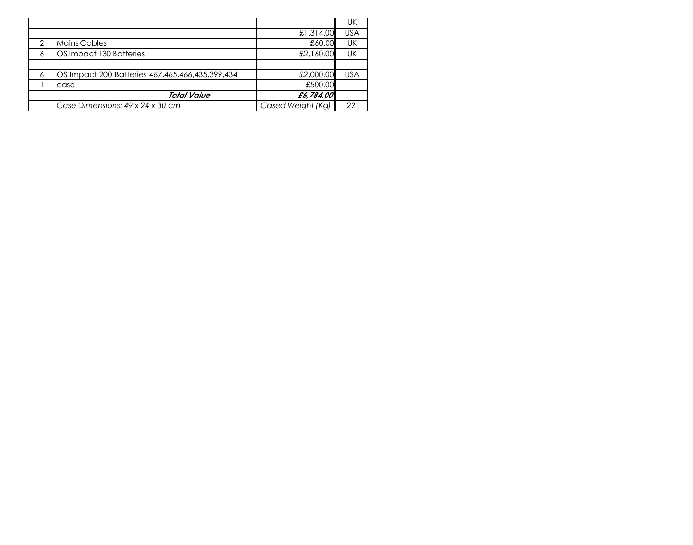|   |                                                 |                   | UK         |
|---|-------------------------------------------------|-------------------|------------|
|   |                                                 | £1,314.00         | <b>USA</b> |
| 2 | <b>Mains Cables</b>                             | £60.00            | UK         |
| 6 | OS Impact 130 Batteries                         | £2,160.00         | UK         |
|   |                                                 |                   |            |
| 6 | OS Impact 200 Batteries 467,465,466,435,399,434 | £2,000.00         | <b>USA</b> |
|   | case                                            | £500.00           |            |
|   | <b>Total Value</b>                              | £6,784.00         |            |
|   | Case Dimensions: 49 x 24 x 30 cm                | Cased Weight (Kg) | ററ         |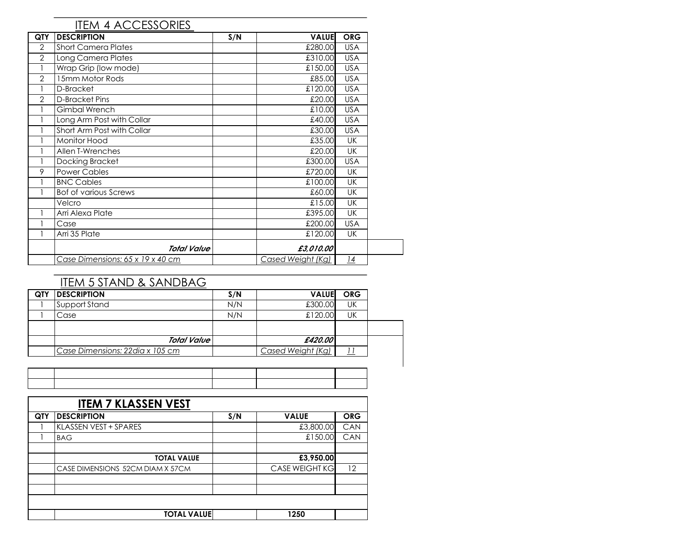|                | <b>ITEM 4 ACCESSORIES</b>        |     |                   |            |  |
|----------------|----------------------------------|-----|-------------------|------------|--|
| <b>QTY</b>     | <b>DESCRIPTION</b>               | S/N | <b>VALUE</b>      | <b>ORG</b> |  |
| $\overline{2}$ | <b>Short Camera Plates</b>       |     | £280.00           | <b>USA</b> |  |
| $\overline{2}$ | Long Camera Plates               |     | £310.00           | <b>USA</b> |  |
|                | Wrap Grip (low mode)             |     | £150.00           | <b>USA</b> |  |
| $\overline{2}$ | 15mm Motor Rods                  |     | £85.00            | <b>USA</b> |  |
|                | D-Bracket                        |     | £120.00           | <b>USA</b> |  |
| $\overline{2}$ | <b>D-Bracket Pins</b>            |     | £20.00            | <b>USA</b> |  |
|                | <b>Gimbal Wrench</b>             |     | £10.00            | <b>USA</b> |  |
|                | Long Arm Post with Collar        |     | £40.00            | <b>USA</b> |  |
|                | Short Arm Post with Collar       |     | £30.00            | <b>USA</b> |  |
|                | Monitor Hood                     |     | £35.00            | <b>UK</b>  |  |
|                | Allen T-Wrenches                 |     | £20.00            | <b>UK</b>  |  |
|                | Docking Bracket                  |     | £300.00           | <b>USA</b> |  |
| 9              | <b>Power Cables</b>              |     | £720.00           | <b>UK</b>  |  |
|                | <b>BNC Cables</b>                |     | £100.00           | <b>UK</b>  |  |
|                | <b>Bof of various Screws</b>     |     | £60.00            | <b>UK</b>  |  |
|                | Velcro                           |     | £15.00            | <b>UK</b>  |  |
|                | Arri Alexa Plate                 |     | £395.00           | <b>UK</b>  |  |
|                | Case                             |     | £200.00           | <b>USA</b> |  |
|                | Arri 35 Plate                    |     | £120.00           | <b>UK</b>  |  |
|                | <b>Total Value</b>               |     | £3,010.00         |            |  |
|                | Case Dimensions: 65 x 19 x 40 cm |     | Cased Weight (Kg) | <u> 14</u> |  |

## ITEM 5 STAND & SANDBAG

| QTY | <b>DESCRIPTION</b>              | S/N | <b>VALUE</b>      | <b>ORG</b> |
|-----|---------------------------------|-----|-------------------|------------|
|     | Support Stand                   | N/N | £300.00           | UK         |
|     | Case                            | N/N | £120.00           | UK         |
|     |                                 |     |                   |            |
|     | <b>Total Value</b>              |     | £420.00           |            |
|     | Case Dimensions: 22dia x 105 cm |     | Cased Weight (Kg) |            |

|     | <b>ITEM 7 KLASSEN VEST</b>       |     |                       |            |
|-----|----------------------------------|-----|-----------------------|------------|
| QTY | <b>DESCRIPTION</b>               | S/N | <b>VALUE</b>          | <b>ORG</b> |
|     | KLASSEN VEST + SPARES            |     | £3,800.00             | CAN        |
|     | <b>BAG</b>                       |     | £150.00               | CAN        |
|     |                                  |     |                       |            |
|     | <b>TOTAL VALUE</b>               |     | £3,950.00             |            |
|     | CASE DIMENSIONS 52CM DIAM X 57CM |     | <b>CASE WEIGHT KG</b> | 12         |
|     |                                  |     |                       |            |
|     |                                  |     |                       |            |
|     |                                  |     |                       |            |
|     | <b>TOTAL VALUE</b>               |     | 1250                  |            |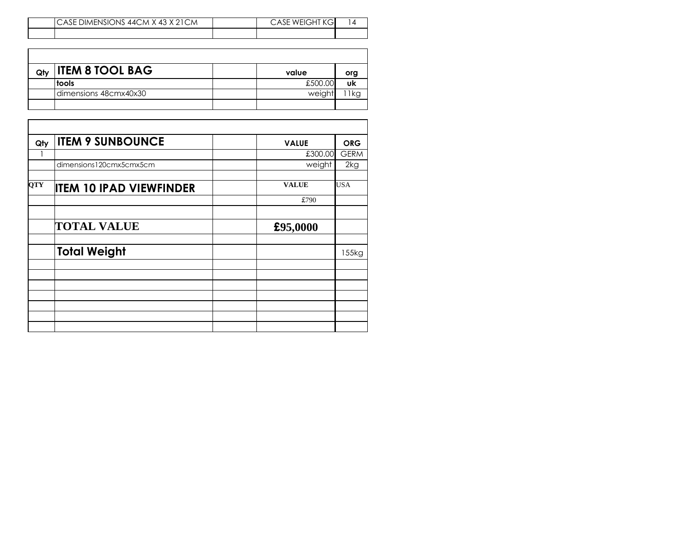| · DIMENSIONS 44CM X 43 X 2 .<br>' ASE.<br>JΜ | $M = 16$<br>$\Delta$<br>$\sim$ $-$<br>- 1 |  |
|----------------------------------------------|-------------------------------------------|--|
|                                              |                                           |  |

| Qty | <b>ITEM 8 TOOL BAG</b> | value   | org |
|-----|------------------------|---------|-----|
|     | <b>tools</b>           | £500.00 |     |
|     | dimensions 48cmx40x30  | weight  |     |
|     |                        |         |     |

| Qły        | <b>ITEM 9 SUNBOUNCE</b>        | <b>VALUE</b> | <b>ORG</b>  |
|------------|--------------------------------|--------------|-------------|
|            |                                | £300.00      | <b>GERM</b> |
|            | dimensions120cmx5cmx5cm        | weight       | 2kg         |
| <b>QTY</b> | <b>ITEM 10 IPAD VIEWFINDER</b> | <b>VALUE</b> | <b>USA</b>  |
|            |                                | £790         |             |
|            | <b>TOTAL VALUE</b>             | £95,0000     |             |
|            | <b>Total Weight</b>            |              | 155kg       |
|            |                                |              |             |
|            |                                |              |             |
|            |                                |              |             |
|            |                                |              |             |